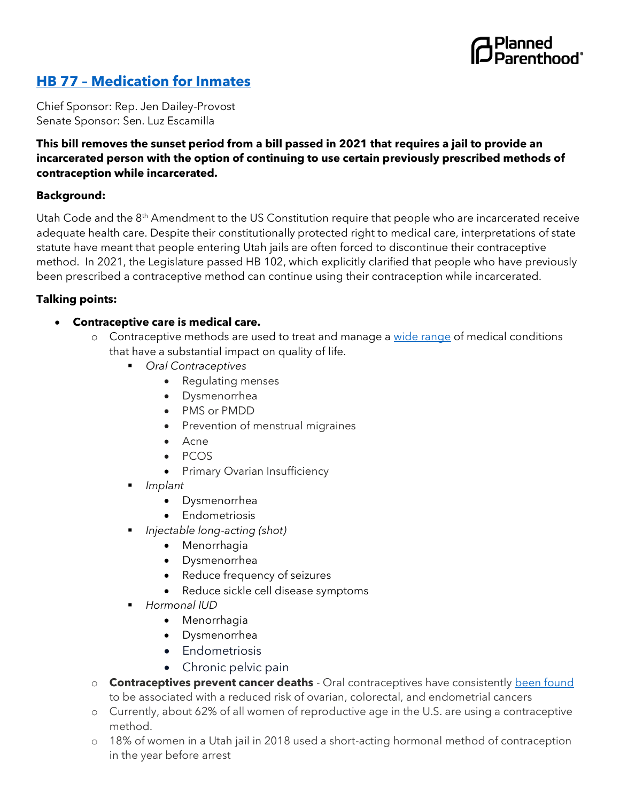

## **HB 77 – [Medication for Inmates](https://le.utah.gov/~2022/bills/static/HB0077.html)**

Chief Sponsor: Rep. Jen Dailey-Provost Senate Sponsor: Sen. Luz Escamilla

## **This bill removes the sunset period from a bill passed in 2021 that requires a jail to provide an incarcerated person with the option of continuing to use certain previously prescribed methods of contraception while incarcerated.**

## **Background:**

Utah Code and the 8<sup>th</sup> Amendment to the US Constitution require that people who are incarcerated receive adequate health care. Despite their constitutionally protected right to medical care, interpretations of state statute have meant that people entering Utah jails are often forced to discontinue their contraceptive method. In 2021, the Legislature passed HB 102, which explicitly clarified that people who have previously been prescribed a contraceptive method can continue using their contraception while incarcerated.

## **Talking points:**

- **Contraceptive care is medical care.**
	- o Contraceptive methods are used to treat and manage [a wide range](https://www.aafp.org/afp/2010/0915/p621.html) of medical conditions that have a substantial impact on quality of life.
		- *Oral Contraceptives*
			- Regulating menses
			- Dysmenorrhea
			- PMS or PMDD
			- Prevention of menstrual migraines
			- Acne
			- PCOS
			- Primary Ovarian Insufficiency
		- *Implant* 
			- Dysmenorrhea
			- Endometriosis
			- *Injectable long-acting (shot)*
				- Menorrhagia
				- Dysmenorrhea
				- Reduce frequency of seizures
				- Reduce sickle cell disease symptoms
		- *Hormonal IUD*
			- Menorrhagia
			- Dysmenorrhea
			- Endometriosis
			- Chronic pelvic pain
	- o **Contraceptives prevent cancer deaths**  Oral contraceptives have consistently [been found](https://www.cancer.gov/about-cancer/causes-prevention/risk/hormones/oral-contraceptives-fact-sheet) to be associated with a reduced risk of ovarian, colorectal, and endometrial cancers
	- o Currently, about 62% of all women of reproductive age in the U.S. are using a contraceptive method.
	- o 18% of women in a Utah jail in 2018 used a short-acting hormonal method of contraception in the year before arrest